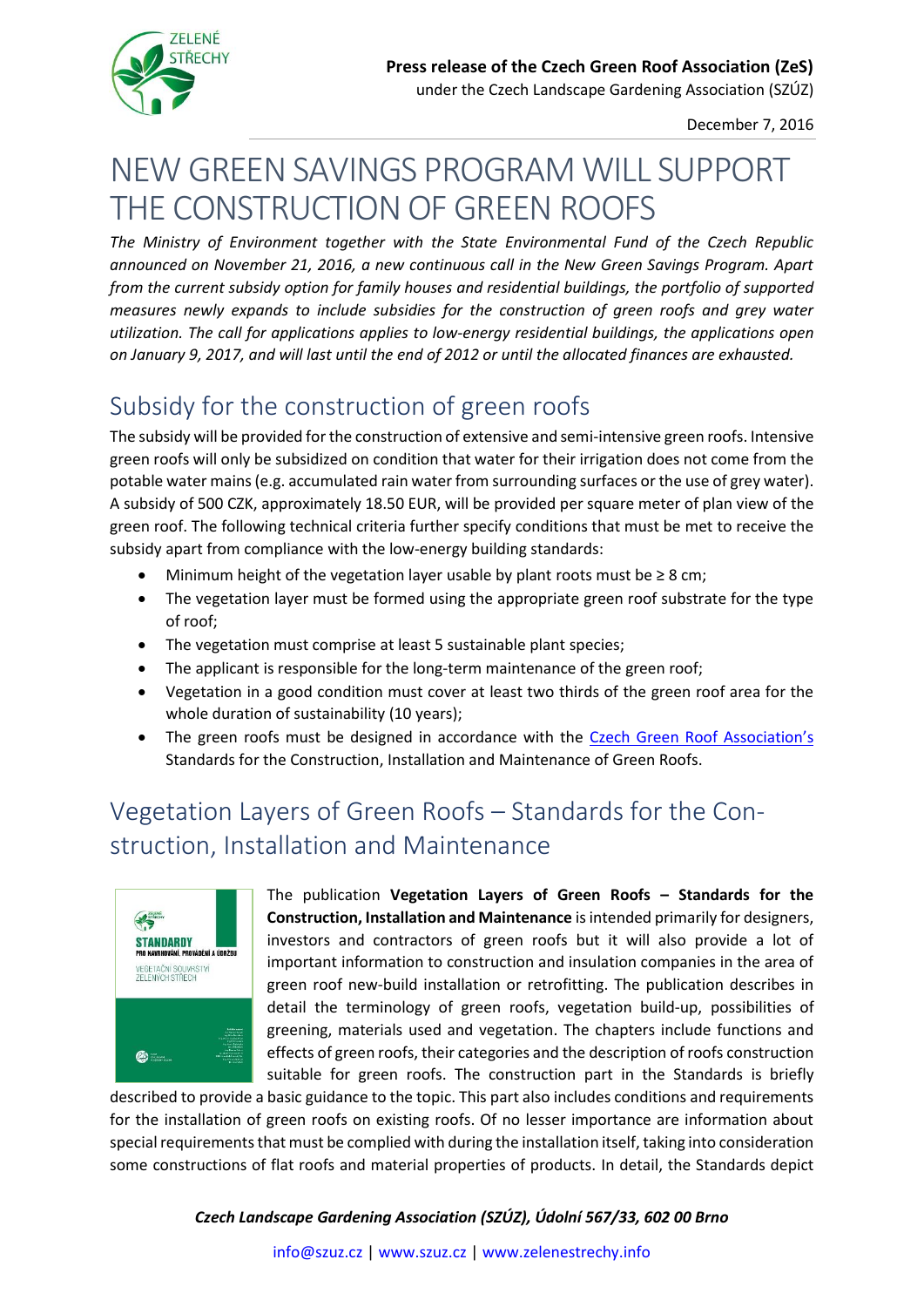

under the Czech Landscape Gardening Association (SZÚZ)

December 7, 2016

# NEW GREEN SAVINGS PROGRAM WILL SUPPORT THE CONSTRUCTION OF GREEN ROOFS

*The Ministry of Environment together with the State Environmental Fund of the Czech Republic announced on November 21, 2016, a new continuous call in the New Green Savings Program. Apart from the current subsidy option for family houses and residential buildings, the portfolio of supported measures newly expands to include subsidies for the construction of green roofs and grey water utilization. The call for applications applies to low-energy residential buildings, the applications open on January 9, 2017, and will last until the end of 2012 or until the allocated finances are exhausted.*

# Subsidy for the construction of green roofs

The subsidy will be provided for the construction of extensive and semi-intensive green roofs. Intensive green roofs will only be subsidized on condition that water for their irrigation does not come from the potable water mains (e.g. accumulated rain water from surrounding surfaces or the use of grey water). A subsidy of 500 CZK, approximately 18.50 EUR, will be provided per square meter of plan view of the green roof. The following technical criteria further specify conditions that must be met to receive the subsidy apart from compliance with the low-energy building standards:

- Minimum height of the vegetation layer usable by plant roots must be  $\geq 8$  cm;
- The vegetation layer must be formed using the appropriate green roof substrate for the type of roof;
- The vegetation must comprise at least 5 sustainable plant species;
- The applicant is responsible for the long-term maintenance of the green roof;
- Vegetation in a good condition must cover at least two thirds of the green roof area for the whole duration of sustainability (10 years);
- The green roofs must be designed in accordance with the [Czech Green Roof Association's](http://www.zelenestrechy.info/cs/) Standards for the Construction, Installation and Maintenance of Green Roofs.

# Vegetation Layers of Green Roofs – Standards for the Construction, Installation and Maintenance



The publication **Vegetation Layers of Green Roofs – Standards for the Construction, Installation and Maintenance** is intended primarily for designers, investors and contractors of green roofs but it will also provide a lot of important information to construction and insulation companies in the area of green roof new-build installation or retrofitting. The publication describes in detail the terminology of green roofs, vegetation build-up, possibilities of greening, materials used and vegetation. The chapters include functions and effects of green roofs, their categories and the description of roofs construction suitable for green roofs. The construction part in the Standards is briefly

described to provide a basic guidance to the topic. This part also includes conditions and requirements for the installation of green roofs on existing roofs. Of no lesser importance are information about special requirements that must be complied with during the installation itself, taking into consideration some constructions of flat roofs and material properties of products. In detail, the Standards depict

*Czech Landscape Gardening Association (SZÚZ), Údolní 567/33, 602 00 Brno*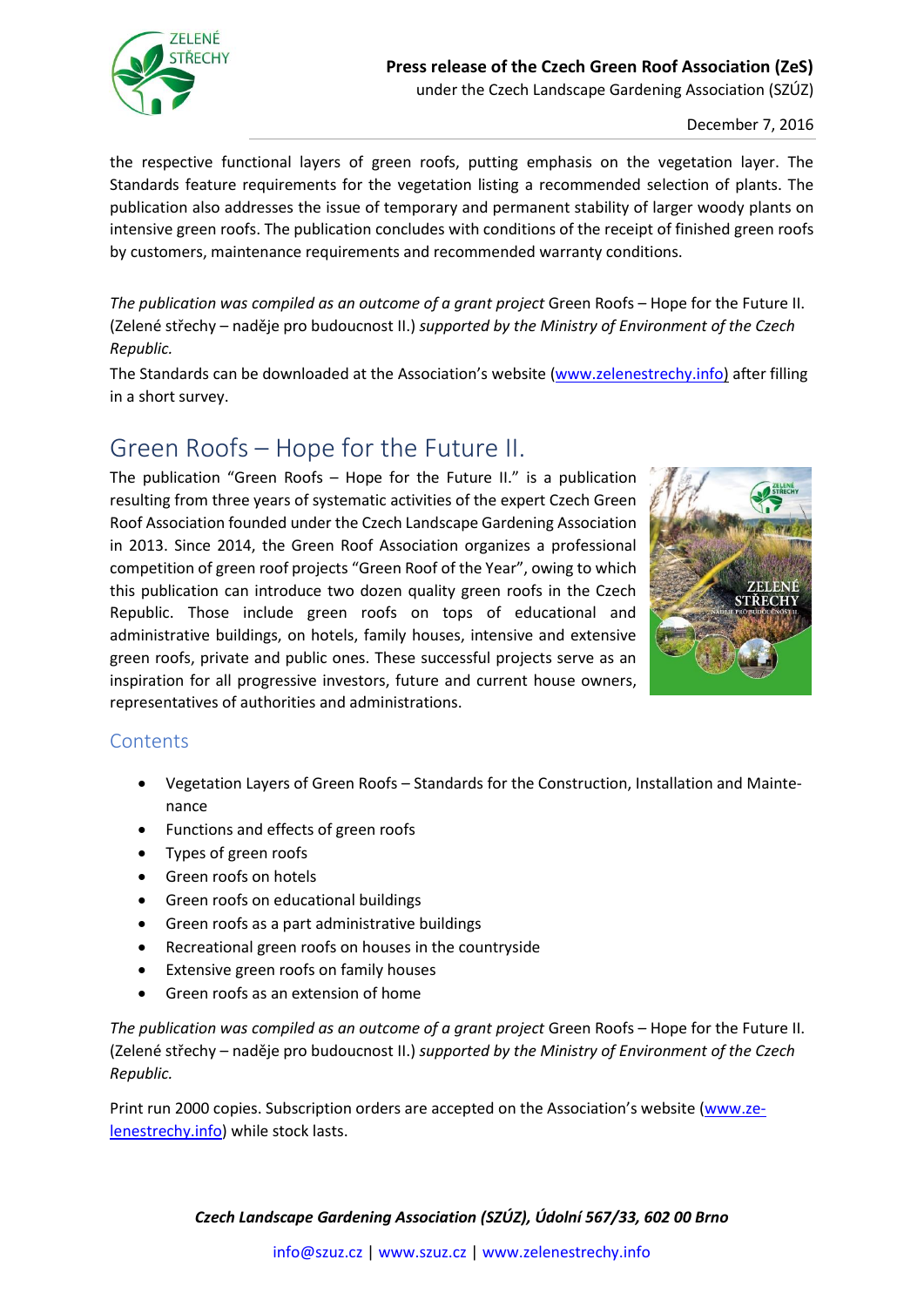

December 7, 2016

the respective functional layers of green roofs, putting emphasis on the vegetation layer. The Standards feature requirements for the vegetation listing a recommended selection of plants. The publication also addresses the issue of temporary and permanent stability of larger woody plants on intensive green roofs. The publication concludes with conditions of the receipt of finished green roofs by customers, maintenance requirements and recommended warranty conditions.

*The publication was compiled as an outcome of a grant project* Green Roofs – Hope for the Future II. (Zelené střechy – naděje pro budoucnost II.) *supported by the Ministry of Environment of the Czech Republic.*

The Standards can be downloaded at the Association's website [\(www.zelenestrechy.info\)](www.zelenestrechy.info) after filling in a short survey.

### Green Roofs – Hope for the Future II.

The publication "Green Roofs – Hope for the Future II." is a publication resulting from three years of systematic activities of the expert Czech Green Roof Association founded under the Czech Landscape Gardening Association in 2013. Since 2014, the Green Roof Association organizes a professional competition of green roof projects "Green Roof of the Year", owing to which this publication can introduce two dozen quality green roofs in the Czech Republic. Those include green roofs on tops of educational and administrative buildings, on hotels, family houses, intensive and extensive green roofs, private and public ones. These successful projects serve as an inspiration for all progressive investors, future and current house owners, representatives of authorities and administrations.



#### **Contents**

- Vegetation Layers of Green Roofs Standards for the Construction, Installation and Maintenance
- Functions and effects of green roofs
- Types of green roofs
- Green roofs on hotels
- Green roofs on educational buildings
- Green roofs as a part administrative buildings
- Recreational green roofs on houses in the countryside
- Extensive green roofs on family houses
- Green roofs as an extension of home

*The publication was compiled as an outcome of a grant project* Green Roofs – Hope for the Future II. (Zelené střechy – naděje pro budoucnost II.) *supported by the Ministry of Environment of the Czech Republic.*

Print run 2000 copies. Subscription orders are accepted on the Association's website ([www.ze](www.zelenestrechy.info)[lenestrechy.info\)](www.zelenestrechy.info) while stock lasts.

#### *Czech Landscape Gardening Association (SZÚZ), Údolní 567/33, 602 00 Brno*